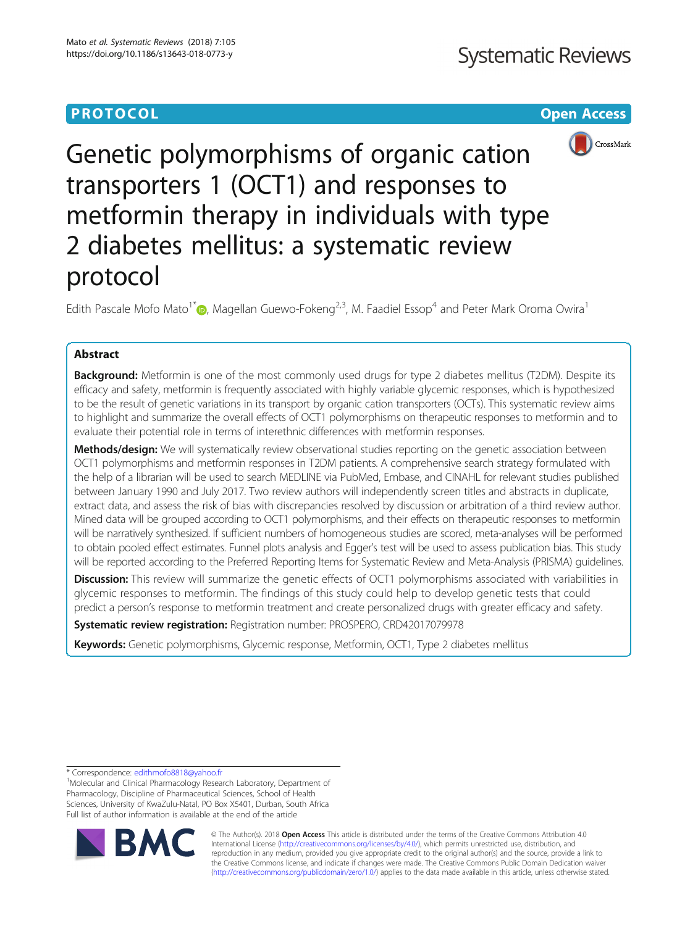# **PROTOCOL CONSUMING THE CONSUMING TEACHER CONSUMING THE CONSUMING TEACHER CONSUMING THE CONSUMING TEACHER CONSUMING**



Genetic polymorphisms of organic cation transporters 1 (OCT1) and responses to metformin therapy in individuals with type 2 diabetes mellitus: a systematic review protocol

Edith Pascale Mofo Mato<sup>1\*</sup>  $\bullet$ [,](http://orcid.org/0000-0002-0026-6154) Magellan Guewo-Fokeng<sup>2,3</sup>, M. Faadiel Essop<sup>4</sup> and Peter Mark Oroma Owira<sup>1</sup>

# Abstract

Background: Metformin is one of the most commonly used drugs for type 2 diabetes mellitus (T2DM). Despite its efficacy and safety, metformin is frequently associated with highly variable glycemic responses, which is hypothesized to be the result of genetic variations in its transport by organic cation transporters (OCTs). This systematic review aims to highlight and summarize the overall effects of OCT1 polymorphisms on therapeutic responses to metformin and to evaluate their potential role in terms of interethnic differences with metformin responses.

Methods/design: We will systematically review observational studies reporting on the genetic association between OCT1 polymorphisms and metformin responses in T2DM patients. A comprehensive search strategy formulated with the help of a librarian will be used to search MEDLINE via PubMed, Embase, and CINAHL for relevant studies published between January 1990 and July 2017. Two review authors will independently screen titles and abstracts in duplicate, extract data, and assess the risk of bias with discrepancies resolved by discussion or arbitration of a third review author. Mined data will be grouped according to OCT1 polymorphisms, and their effects on therapeutic responses to metformin will be narratively synthesized. If sufficient numbers of homogeneous studies are scored, meta-analyses will be performed to obtain pooled effect estimates. Funnel plots analysis and Egger's test will be used to assess publication bias. This study will be reported according to the Preferred Reporting Items for Systematic Review and Meta-Analysis (PRISMA) guidelines.

Discussion: This review will summarize the genetic effects of OCT1 polymorphisms associated with variabilities in glycemic responses to metformin. The findings of this study could help to develop genetic tests that could predict a person's response to metformin treatment and create personalized drugs with greater efficacy and safety.

Systematic review registration: Registration number: PROSPERO, CRD42017079978

Keywords: Genetic polymorphisms, Glycemic response, Metformin, OCT1, Type 2 diabetes mellitus

\* Correspondence: [edithmofo8818@yahoo.fr](mailto:edithmofo8818@yahoo.fr) <sup>1</sup>

<sup>&</sup>lt;sup>1</sup>Molecular and Clinical Pharmacology Research Laboratory, Department of Pharmacology, Discipline of Pharmaceutical Sciences, School of Health Sciences, University of KwaZulu-Natal, PO Box X5401, Durban, South Africa Full list of author information is available at the end of the article



© The Author(s). 2018 Open Access This article is distributed under the terms of the Creative Commons Attribution 4.0 International License [\(http://creativecommons.org/licenses/by/4.0/](http://creativecommons.org/licenses/by/4.0/)), which permits unrestricted use, distribution, and reproduction in any medium, provided you give appropriate credit to the original author(s) and the source, provide a link to the Creative Commons license, and indicate if changes were made. The Creative Commons Public Domain Dedication waiver [\(http://creativecommons.org/publicdomain/zero/1.0/](http://creativecommons.org/publicdomain/zero/1.0/)) applies to the data made available in this article, unless otherwise stated.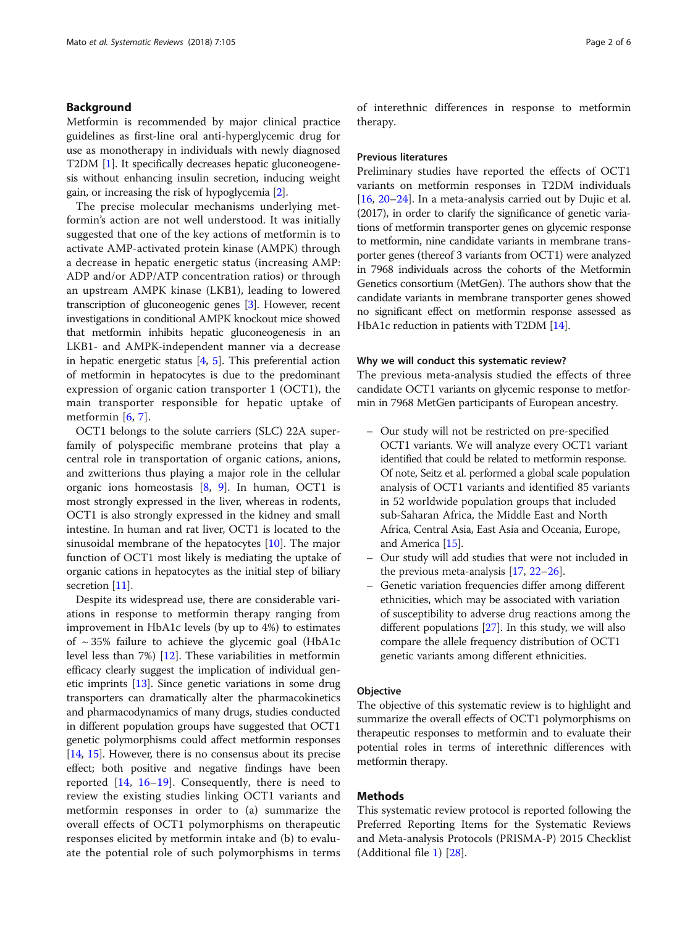# Background

Metformin is recommended by major clinical practice guidelines as first-line oral anti-hyperglycemic drug for use as monotherapy in individuals with newly diagnosed T2DM [\[1](#page-4-0)]. It specifically decreases hepatic gluconeogenesis without enhancing insulin secretion, inducing weight gain, or increasing the risk of hypoglycemia [[2\]](#page-5-0).

The precise molecular mechanisms underlying metformin's action are not well understood. It was initially suggested that one of the key actions of metformin is to activate AMP-activated protein kinase (AMPK) through a decrease in hepatic energetic status (increasing AMP: ADP and/or ADP/ATP concentration ratios) or through an upstream AMPK kinase (LKB1), leading to lowered transcription of gluconeogenic genes [[3](#page-5-0)]. However, recent investigations in conditional AMPK knockout mice showed that metformin inhibits hepatic gluconeogenesis in an LKB1- and AMPK-independent manner via a decrease in hepatic energetic status  $[4, 5]$  $[4, 5]$  $[4, 5]$  $[4, 5]$  $[4, 5]$ . This preferential action of metformin in hepatocytes is due to the predominant expression of organic cation transporter 1 (OCT1), the main transporter responsible for hepatic uptake of metformin [[6,](#page-5-0) [7](#page-5-0)].

OCT1 belongs to the solute carriers (SLC) 22A superfamily of polyspecific membrane proteins that play a central role in transportation of organic cations, anions, and zwitterions thus playing a major role in the cellular organic ions homeostasis  $[8, 9]$  $[8, 9]$  $[8, 9]$  $[8, 9]$ . In human, OCT1 is most strongly expressed in the liver, whereas in rodents, OCT1 is also strongly expressed in the kidney and small intestine. In human and rat liver, OCT1 is located to the sinusoidal membrane of the hepatocytes [\[10\]](#page-5-0). The major function of OCT1 most likely is mediating the uptake of organic cations in hepatocytes as the initial step of biliary secretion [[11](#page-5-0)].

Despite its widespread use, there are considerable variations in response to metformin therapy ranging from improvement in HbA1c levels (by up to 4%) to estimates of  $\sim$  35% failure to achieve the glycemic goal (HbA1c level less than 7%) [[12](#page-5-0)]. These variabilities in metformin efficacy clearly suggest the implication of individual genetic imprints [[13](#page-5-0)]. Since genetic variations in some drug transporters can dramatically alter the pharmacokinetics and pharmacodynamics of many drugs, studies conducted in different population groups have suggested that OCT1 genetic polymorphisms could affect metformin responses [[14](#page-5-0), [15](#page-5-0)]. However, there is no consensus about its precise effect; both positive and negative findings have been reported [[14,](#page-5-0) [16](#page-5-0)–[19](#page-5-0)]. Consequently, there is need to review the existing studies linking OCT1 variants and metformin responses in order to (a) summarize the overall effects of OCT1 polymorphisms on therapeutic responses elicited by metformin intake and (b) to evaluate the potential role of such polymorphisms in terms of interethnic differences in response to metformin therapy.

## Previous literatures

Preliminary studies have reported the effects of OCT1 variants on metformin responses in T2DM individuals [[16,](#page-5-0) [20](#page-5-0)–[24](#page-5-0)]. In a meta-analysis carried out by Dujic et al. (2017), in order to clarify the significance of genetic variations of metformin transporter genes on glycemic response to metformin, nine candidate variants in membrane transporter genes (thereof 3 variants from OCT1) were analyzed in 7968 individuals across the cohorts of the Metformin Genetics consortium (MetGen). The authors show that the candidate variants in membrane transporter genes showed no significant effect on metformin response assessed as HbA1c reduction in patients with T2DM [\[14\]](#page-5-0).

### Why we will conduct this systematic review?

The previous meta-analysis studied the effects of three candidate OCT1 variants on glycemic response to metformin in 7968 MetGen participants of European ancestry.

- Our study will not be restricted on pre-specified OCT1 variants. We will analyze every OCT1 variant identified that could be related to metformin response. Of note, Seitz et al. performed a global scale population analysis of OCT1 variants and identified 85 variants in 52 worldwide population groups that included sub-Saharan Africa, the Middle East and North Africa, Central Asia, East Asia and Oceania, Europe, and America [[15](#page-5-0)].
- Our study will add studies that were not included in the previous meta-analysis [\[17,](#page-5-0) [22](#page-5-0)–[26](#page-5-0)].
- Genetic variation frequencies differ among different ethnicities, which may be associated with variation of susceptibility to adverse drug reactions among the different populations [\[27](#page-5-0)]. In this study, we will also compare the allele frequency distribution of OCT1 genetic variants among different ethnicities.

## **Objective**

The objective of this systematic review is to highlight and summarize the overall effects of OCT1 polymorphisms on therapeutic responses to metformin and to evaluate their potential roles in terms of interethnic differences with metformin therapy.

# Methods

This systematic review protocol is reported following the Preferred Reporting Items for the Systematic Reviews and Meta-analysis Protocols (PRISMA-P) 2015 Checklist (Additional file [1](#page-4-0)) [\[28](#page-5-0)].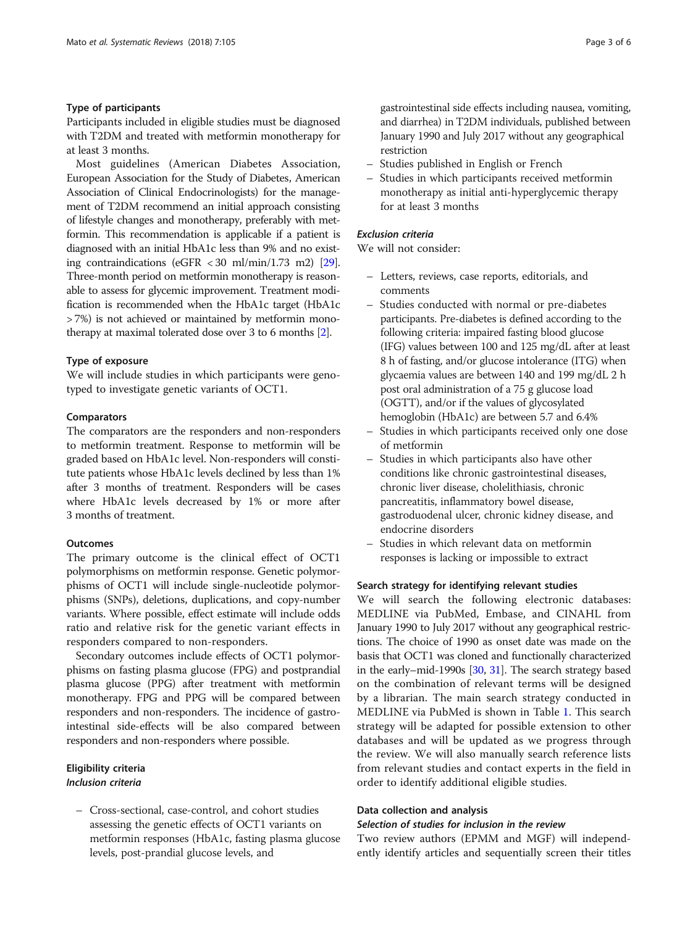# Type of participants

Participants included in eligible studies must be diagnosed with T2DM and treated with metformin monotherapy for at least 3 months.

Most guidelines (American Diabetes Association, European Association for the Study of Diabetes, American Association of Clinical Endocrinologists) for the management of T2DM recommend an initial approach consisting of lifestyle changes and monotherapy, preferably with metformin. This recommendation is applicable if a patient is diagnosed with an initial HbA1c less than 9% and no existing contraindications (eGFR < 30 ml/min/1.73 m2) [\[29](#page-5-0)]. Three-month period on metformin monotherapy is reasonable to assess for glycemic improvement. Treatment modification is recommended when the HbA1c target (HbA1c > 7%) is not achieved or maintained by metformin monotherapy at maximal tolerated dose over 3 to 6 months [[2](#page-5-0)].

## Type of exposure

We will include studies in which participants were genotyped to investigate genetic variants of OCT1.

## **Comparators**

The comparators are the responders and non-responders to metformin treatment. Response to metformin will be graded based on HbA1c level. Non-responders will constitute patients whose HbA1c levels declined by less than 1% after 3 months of treatment. Responders will be cases where HbA1c levels decreased by 1% or more after 3 months of treatment.

# **Outcomes**

The primary outcome is the clinical effect of OCT1 polymorphisms on metformin response. Genetic polymorphisms of OCT1 will include single-nucleotide polymorphisms (SNPs), deletions, duplications, and copy-number variants. Where possible, effect estimate will include odds ratio and relative risk for the genetic variant effects in responders compared to non-responders.

Secondary outcomes include effects of OCT1 polymorphisms on fasting plasma glucose (FPG) and postprandial plasma glucose (PPG) after treatment with metformin monotherapy. FPG and PPG will be compared between responders and non-responders. The incidence of gastrointestinal side-effects will be also compared between responders and non-responders where possible.

# Eligibility criteria Inclusion criteria

– Cross-sectional, case-control, and cohort studies assessing the genetic effects of OCT1 variants on metformin responses (HbA1c, fasting plasma glucose levels, post-prandial glucose levels, and

gastrointestinal side effects including nausea, vomiting, and diarrhea) in T2DM individuals, published between January 1990 and July 2017 without any geographical restriction

- Studies published in English or French
- Studies in which participants received metformin monotherapy as initial anti-hyperglycemic therapy for at least 3 months

# Exclusion criteria

We will not consider:

- Letters, reviews, case reports, editorials, and comments
- Studies conducted with normal or pre-diabetes participants. Pre-diabetes is defined according to the following criteria: impaired fasting blood glucose (IFG) values between 100 and 125 mg/dL after at least 8 h of fasting, and/or glucose intolerance (ITG) when glycaemia values are between 140 and 199 mg/dL 2 h post oral administration of a 75 g glucose load (OGTT), and/or if the values of glycosylated hemoglobin (HbA1c) are between 5.7 and 6.4%
- Studies in which participants received only one dose of metformin
- Studies in which participants also have other conditions like chronic gastrointestinal diseases, chronic liver disease, cholelithiasis, chronic pancreatitis, inflammatory bowel disease, gastroduodenal ulcer, chronic kidney disease, and endocrine disorders
- Studies in which relevant data on metformin responses is lacking or impossible to extract

## Search strategy for identifying relevant studies

We will search the following electronic databases: MEDLINE via PubMed, Embase, and CINAHL from January 1990 to July 2017 without any geographical restrictions. The choice of 1990 as onset date was made on the basis that OCT1 was cloned and functionally characterized in the early–mid-1990s [\[30,](#page-5-0) [31](#page-5-0)]. The search strategy based on the combination of relevant terms will be designed by a librarian. The main search strategy conducted in MEDLINE via PubMed is shown in Table [1.](#page-3-0) This search strategy will be adapted for possible extension to other databases and will be updated as we progress through the review. We will also manually search reference lists from relevant studies and contact experts in the field in order to identify additional eligible studies.

# Data collection and analysis

# Selection of studies for inclusion in the review

Two review authors (EPMM and MGF) will independently identify articles and sequentially screen their titles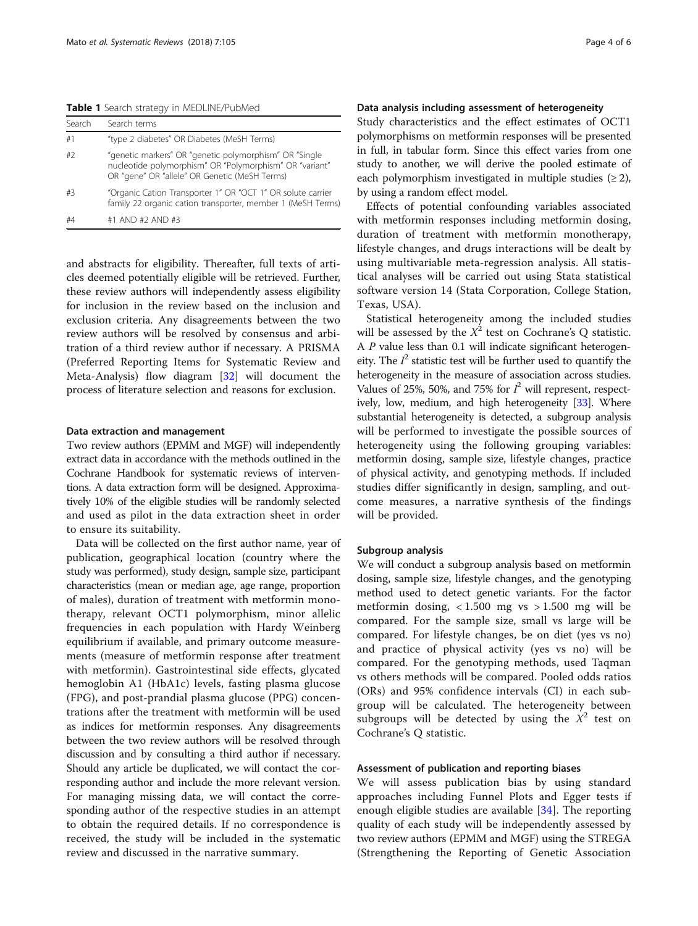<span id="page-3-0"></span>Table 1 Search strategy in MEDLINE/PubMed

| Search | Search terms                                                                                                                                                       |
|--------|--------------------------------------------------------------------------------------------------------------------------------------------------------------------|
| #1     | "type 2 diabetes" OR Diabetes (MeSH Terms)                                                                                                                         |
| #2     | "genetic markers" OR "genetic polymorphism" OR "Single<br>nucleotide polymorphism" OR "Polymorphism" OR "variant"<br>OR "gene" OR "allele" OR Genetic (MeSH Terms) |
| #3     | "Organic Cation Transporter 1" OR "OCT 1" OR solute carrier<br>family 22 organic cation transporter, member 1 (MeSH Terms)                                         |
| #4     | #1 AND #2 AND #3                                                                                                                                                   |

and abstracts for eligibility. Thereafter, full texts of articles deemed potentially eligible will be retrieved. Further, these review authors will independently assess eligibility for inclusion in the review based on the inclusion and exclusion criteria. Any disagreements between the two review authors will be resolved by consensus and arbitration of a third review author if necessary. A PRISMA (Preferred Reporting Items for Systematic Review and Meta-Analysis) flow diagram [\[32](#page-5-0)] will document the process of literature selection and reasons for exclusion.

#### Data extraction and management

Two review authors (EPMM and MGF) will independently extract data in accordance with the methods outlined in the Cochrane Handbook for systematic reviews of interventions. A data extraction form will be designed. Approximatively 10% of the eligible studies will be randomly selected and used as pilot in the data extraction sheet in order to ensure its suitability.

Data will be collected on the first author name, year of publication, geographical location (country where the study was performed), study design, sample size, participant characteristics (mean or median age, age range, proportion of males), duration of treatment with metformin monotherapy, relevant OCT1 polymorphism, minor allelic frequencies in each population with Hardy Weinberg equilibrium if available, and primary outcome measurements (measure of metformin response after treatment with metformin). Gastrointestinal side effects, glycated hemoglobin A1 (HbA1c) levels, fasting plasma glucose (FPG), and post-prandial plasma glucose (PPG) concentrations after the treatment with metformin will be used as indices for metformin responses. Any disagreements between the two review authors will be resolved through discussion and by consulting a third author if necessary. Should any article be duplicated, we will contact the corresponding author and include the more relevant version. For managing missing data, we will contact the corresponding author of the respective studies in an attempt to obtain the required details. If no correspondence is received, the study will be included in the systematic review and discussed in the narrative summary.

# Data analysis including assessment of heterogeneity

Study characteristics and the effect estimates of OCT1 polymorphisms on metformin responses will be presented in full, in tabular form. Since this effect varies from one study to another, we will derive the pooled estimate of each polymorphism investigated in multiple studies  $(\geq 2)$ , by using a random effect model.

Effects of potential confounding variables associated with metformin responses including metformin dosing, duration of treatment with metformin monotherapy, lifestyle changes, and drugs interactions will be dealt by using multivariable meta-regression analysis. All statistical analyses will be carried out using Stata statistical software version 14 (Stata Corporation, College Station, Texas, USA).

Statistical heterogeneity among the included studies will be assessed by the  $X^2$  test on Cochrane's Q statistic. A P value less than 0.1 will indicate significant heterogeneity. The  $I^2$  statistic test will be further used to quantify the heterogeneity in the measure of association across studies. Values of 25%, 50%, and 75% for  $I^2$  will represent, respectively, low, medium, and high heterogeneity [\[33\]](#page-5-0). Where substantial heterogeneity is detected, a subgroup analysis will be performed to investigate the possible sources of heterogeneity using the following grouping variables: metformin dosing, sample size, lifestyle changes, practice of physical activity, and genotyping methods. If included studies differ significantly in design, sampling, and outcome measures, a narrative synthesis of the findings will be provided.

## Subgroup analysis

We will conduct a subgroup analysis based on metformin dosing, sample size, lifestyle changes, and the genotyping method used to detect genetic variants. For the factor metformin dosing,  $< 1.500$  mg vs  $> 1.500$  mg will be compared. For the sample size, small vs large will be compared. For lifestyle changes, be on diet (yes vs no) and practice of physical activity (yes vs no) will be compared. For the genotyping methods, used Taqman vs others methods will be compared. Pooled odds ratios (ORs) and 95% confidence intervals (CI) in each subgroup will be calculated. The heterogeneity between subgroups will be detected by using the  $X^2$  test on Cochrane's Q statistic.

## Assessment of publication and reporting biases

We will assess publication bias by using standard approaches including Funnel Plots and Egger tests if enough eligible studies are available [[34\]](#page-5-0). The reporting quality of each study will be independently assessed by two review authors (EPMM and MGF) using the STREGA (Strengthening the Reporting of Genetic Association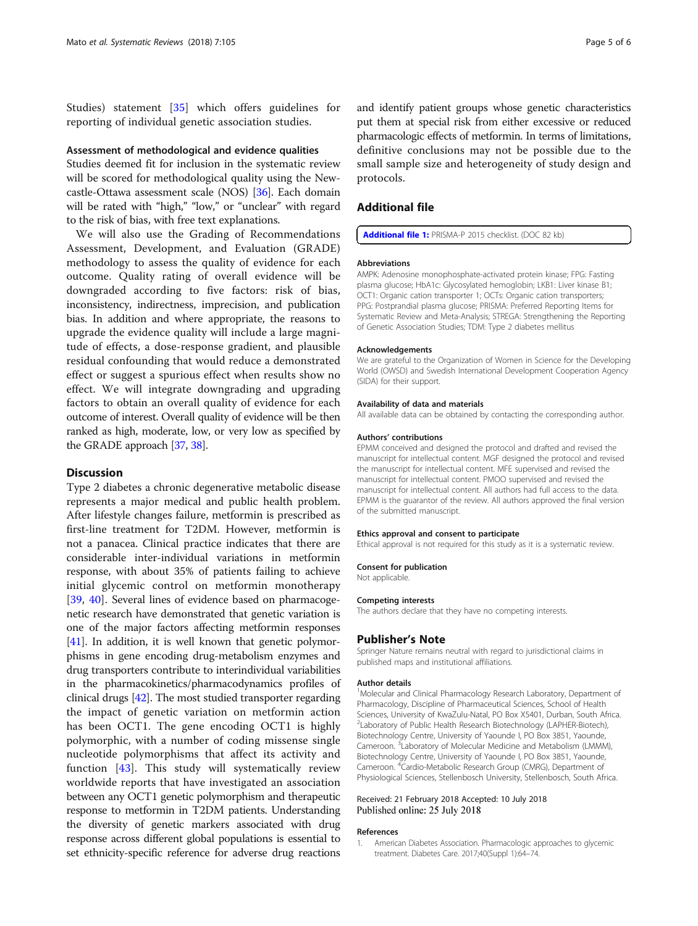<span id="page-4-0"></span>Studies) statement [[35\]](#page-5-0) which offers guidelines for reporting of individual genetic association studies.

### Assessment of methodological and evidence qualities

Studies deemed fit for inclusion in the systematic review will be scored for methodological quality using the Newcastle-Ottawa assessment scale (NOS) [[36](#page-5-0)]. Each domain will be rated with "high," "low," or "unclear" with regard to the risk of bias, with free text explanations.

We will also use the Grading of Recommendations Assessment, Development, and Evaluation (GRADE) methodology to assess the quality of evidence for each outcome. Quality rating of overall evidence will be downgraded according to five factors: risk of bias, inconsistency, indirectness, imprecision, and publication bias. In addition and where appropriate, the reasons to upgrade the evidence quality will include a large magnitude of effects, a dose-response gradient, and plausible residual confounding that would reduce a demonstrated effect or suggest a spurious effect when results show no effect. We will integrate downgrading and upgrading factors to obtain an overall quality of evidence for each outcome of interest. Overall quality of evidence will be then ranked as high, moderate, low, or very low as specified by the GRADE approach [\[37](#page-5-0), [38](#page-5-0)].

# **Discussion**

Type 2 diabetes a chronic degenerative metabolic disease represents a major medical and public health problem. After lifestyle changes failure, metformin is prescribed as first-line treatment for T2DM. However, metformin is not a panacea. Clinical practice indicates that there are considerable inter-individual variations in metformin response, with about 35% of patients failing to achieve initial glycemic control on metformin monotherapy [[39](#page-5-0), [40](#page-5-0)]. Several lines of evidence based on pharmacogenetic research have demonstrated that genetic variation is one of the major factors affecting metformin responses [[41](#page-5-0)]. In addition, it is well known that genetic polymorphisms in gene encoding drug-metabolism enzymes and drug transporters contribute to interindividual variabilities in the pharmacokinetics/pharmacodynamics profiles of clinical drugs [\[42\]](#page-5-0). The most studied transporter regarding the impact of genetic variation on metformin action has been OCT1. The gene encoding OCT1 is highly polymorphic, with a number of coding missense single nucleotide polymorphisms that affect its activity and function [[43\]](#page-5-0). This study will systematically review worldwide reports that have investigated an association between any OCT1 genetic polymorphism and therapeutic response to metformin in T2DM patients. Understanding the diversity of genetic markers associated with drug response across different global populations is essential to set ethnicity-specific reference for adverse drug reactions

and identify patient groups whose genetic characteristics put them at special risk from either excessive or reduced pharmacologic effects of metformin. In terms of limitations, definitive conclusions may not be possible due to the small sample size and heterogeneity of study design and protocols.

## Additional file

[Additional file 1:](https://doi.org/10.1186/s13643-018-0773-y) PRISMA-P 2015 checklist. (DOC 82 kb)

#### Abbreviations

AMPK: Adenosine monophosphate-activated protein kinase; FPG: Fasting plasma glucose; HbA1c: Glycosylated hemoglobin; LKB1: Liver kinase B1; OCT1: Organic cation transporter 1; OCTs: Organic cation transporters; PPG: Postprandial plasma glucose; PRISMA: Preferred Reporting Items for Systematic Review and Meta-Analysis; STREGA: Strengthening the Reporting of Genetic Association Studies; TDM: Type 2 diabetes mellitus

#### Acknowledgements

We are grateful to the Organization of Women in Science for the Developing World (OWSD) and Swedish International Development Cooperation Agency (SIDA) for their support.

#### Availability of data and materials

All available data can be obtained by contacting the corresponding author.

#### Authors' contributions

EPMM conceived and designed the protocol and drafted and revised the manuscript for intellectual content. MGF designed the protocol and revised the manuscript for intellectual content. MFE supervised and revised the manuscript for intellectual content. PMOO supervised and revised the manuscript for intellectual content. All authors had full access to the data. EPMM is the guarantor of the review. All authors approved the final version of the submitted manuscript.

### Ethics approval and consent to participate

Ethical approval is not required for this study as it is a systematic review.

#### Consent for publication

Not applicable.

#### Competing interests

The authors declare that they have no competing interests.

#### Publisher's Note

Springer Nature remains neutral with regard to jurisdictional claims in published maps and institutional affiliations.

#### Author details

<sup>1</sup>Molecular and Clinical Pharmacology Research Laboratory, Department of Pharmacology, Discipline of Pharmaceutical Sciences, School of Health Sciences, University of KwaZulu-Natal, PO Box X5401, Durban, South Africa. <sup>2</sup> Laboratory of Public Health Research Biotechnology (LAPHER-Biotech), Biotechnology Centre, University of Yaounde I, PO Box 3851, Yaounde, Cameroon. <sup>3</sup>Laboratory of Molecular Medicine and Metabolism (LMMM) Biotechnology Centre, University of Yaounde I, PO Box 3851, Yaounde, Cameroon. <sup>4</sup>Cardio-Metabolic Research Group (CMRG), Department of Physiological Sciences, Stellenbosch University, Stellenbosch, South Africa.

## Received: 21 February 2018 Accepted: 10 July 2018 Published online: 25 July 2018

#### References

1. American Diabetes Association. Pharmacologic approaches to glycemic treatment. Diabetes Care. 2017;40(Suppl 1):64–74.